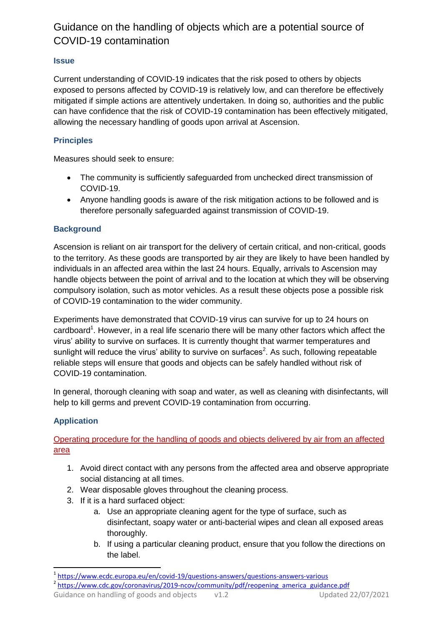# Guidance on the handling of objects which are a potential source of COVID-19 contamination

### **Issue**

Current understanding of COVID-19 indicates that the risk posed to others by objects exposed to persons affected by COVID-19 is relatively low, and can therefore be effectively mitigated if simple actions are attentively undertaken. In doing so, authorities and the public can have confidence that the risk of COVID-19 contamination has been effectively mitigated, allowing the necessary handling of goods upon arrival at Ascension.

## **Principles**

Measures should seek to ensure:

- The community is sufficiently safeguarded from unchecked direct transmission of COVID-19.
- Anyone handling goods is aware of the risk mitigation actions to be followed and is therefore personally safeguarded against transmission of COVID-19.

### **Background**

Ascension is reliant on air transport for the delivery of certain critical, and non-critical, goods to the territory. As these goods are transported by air they are likely to have been handled by individuals in an affected area within the last 24 hours. Equally, arrivals to Ascension may handle objects between the point of arrival and to the location at which they will be observing compulsory isolation, such as motor vehicles. As a result these objects pose a possible risk of COVID-19 contamination to the wider community.

Experiments have demonstrated that COVID-19 virus can survive for up to 24 hours on cardboard<sup>1</sup>. However, in a real life scenario there will be many other factors which affect the virus' ability to survive on surfaces. It is currently thought that warmer temperatures and sunlight will reduce the virus' ability to survive on surfaces<sup>2</sup>. As such, following repeatable reliable steps will ensure that goods and objects can be safely handled without risk of COVID-19 contamination.

In general, thorough cleaning with soap and water, as well as cleaning with disinfectants, will help to kill germs and prevent COVID-19 contamination from occurring.

## **Application**

Operating procedure for the handling of goods and objects delivered by air from an affected area

- 1. Avoid direct contact with any persons from the affected area and observe appropriate social distancing at all times.
- 2. Wear disposable gloves throughout the cleaning process.
- 3. If it is a hard surfaced object:
	- a. Use an appropriate cleaning agent for the type of surface, such as disinfectant, soapy water or anti-bacterial wipes and clean all exposed areas thoroughly.
	- b. If using a particular cleaning product, ensure that you follow the directions on the label.

 1 <https://www.ecdc.europa.eu/en/covid-19/questions-answers/questions-answers-various>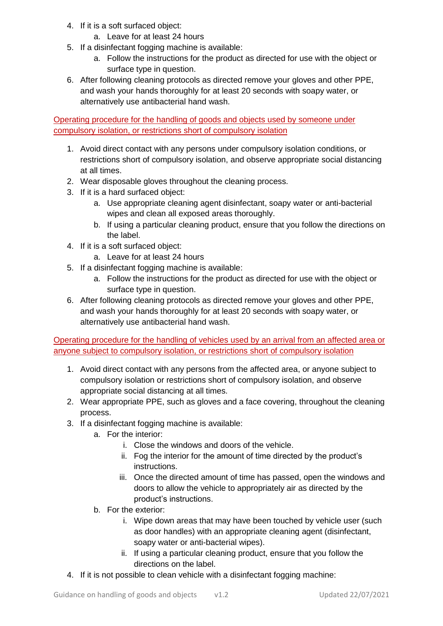- 4. If it is a soft surfaced object:
	- a. Leave for at least 24 hours
- 5. If a disinfectant fogging machine is available:
	- a. Follow the instructions for the product as directed for use with the object or surface type in question.
- 6. After following cleaning protocols as directed remove your gloves and other PPE, and wash your hands thoroughly for at least 20 seconds with soapy water, or alternatively use antibacterial hand wash.

Operating procedure for the handling of goods and objects used by someone under compulsory isolation, or restrictions short of compulsory isolation

- 1. Avoid direct contact with any persons under compulsory isolation conditions, or restrictions short of compulsory isolation, and observe appropriate social distancing at all times.
- 2. Wear disposable gloves throughout the cleaning process.
- 3. If it is a hard surfaced object:
	- a. Use appropriate cleaning agent disinfectant, soapy water or anti-bacterial wipes and clean all exposed areas thoroughly.
	- b. If using a particular cleaning product, ensure that you follow the directions on the label.
- 4. If it is a soft surfaced object:
	- a. Leave for at least 24 hours
- 5. If a disinfectant fogging machine is available:
	- a. Follow the instructions for the product as directed for use with the object or surface type in question.
- 6. After following cleaning protocols as directed remove your gloves and other PPE, and wash your hands thoroughly for at least 20 seconds with soapy water, or alternatively use antibacterial hand wash.

Operating procedure for the handling of vehicles used by an arrival from an affected area or anyone subject to compulsory isolation, or restrictions short of compulsory isolation

- 1. Avoid direct contact with any persons from the affected area, or anyone subject to compulsory isolation or restrictions short of compulsory isolation, and observe appropriate social distancing at all times.
- 2. Wear appropriate PPE, such as gloves and a face covering, throughout the cleaning process.
- 3. If a disinfectant fogging machine is available:
	- a. For the interior:
		- i. Close the windows and doors of the vehicle.
		- ii. Fog the interior for the amount of time directed by the product's instructions.
		- iii. Once the directed amount of time has passed, open the windows and doors to allow the vehicle to appropriately air as directed by the product's instructions.
	- b. For the exterior:
		- i. Wipe down areas that may have been touched by vehicle user (such as door handles) with an appropriate cleaning agent (disinfectant, soapy water or anti-bacterial wipes).
		- ii. If using a particular cleaning product, ensure that you follow the directions on the label.
- 4. If it is not possible to clean vehicle with a disinfectant fogging machine: